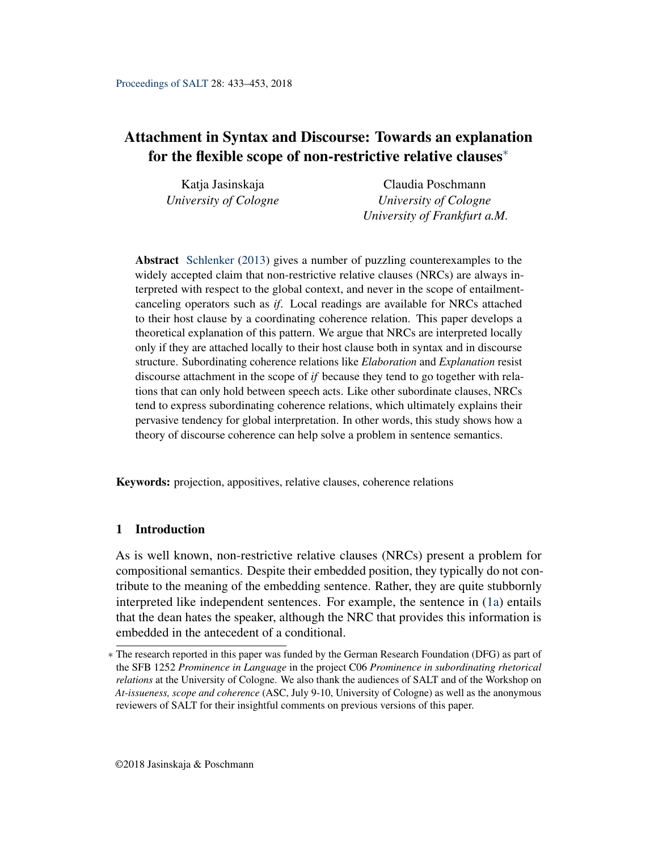# <span id="page-0-0"></span>Attachment in Syntax and Discourse: Towards an explanation for the flexible scope of non-restrictive relative clauses<sup>∗</sup>

| Katja Jasinskaja      | Claudia Poschmann            |
|-----------------------|------------------------------|
| University of Cologne | University of Cologne        |
|                       | University of Frankfurt a.M. |

Abstract [Schlenker](#page-19-0) [\(2013\)](#page-19-0) gives a number of puzzling counterexamples to the widely accepted claim that non-restrictive relative clauses (NRCs) are always interpreted with respect to the global context, and never in the scope of entailmentcanceling operators such as *if*. Local readings are available for NRCs attached to their host clause by a coordinating coherence relation. This paper develops a theoretical explanation of this pattern. We argue that NRCs are interpreted locally only if they are attached locally to their host clause both in syntax and in discourse structure. Subordinating coherence relations like *Elaboration* and *Explanation* resist discourse attachment in the scope of *if* because they tend to go together with relations that can only hold between speech acts. Like other subordinate clauses, NRCs tend to express subordinating coherence relations, which ultimately explains their pervasive tendency for global interpretation. In other words, this study shows how a theory of discourse coherence can help solve a problem in sentence semantics.

Keywords: projection, appositives, relative clauses, coherence relations

# 1 Introduction

As is well known, non-restrictive relative clauses (NRCs) present a problem for compositional semantics. Despite their embedded position, they typically do not contribute to the meaning of the embedding sentence. Rather, they are quite stubbornly interpreted like independent sentences. For example, the sentence in [\(1a\)](#page-1-0) entails that the dean hates the speaker, although the NRC that provides this information is embedded in the antecedent of a conditional.

<sup>∗</sup> The research reported in this paper was funded by the German Research Foundation (DFG) as part of the SFB 1252 *Prominence in Language* in the project C06 *Prominence in subordinating rhetorical relations* at the University of Cologne. We also thank the audiences of SALT and of the Workshop on *At-issueness, scope and coherence* (ASC, July 9-10, University of Cologne) as well as the anonymous reviewers of SALT for their insightful comments on previous versions of this paper.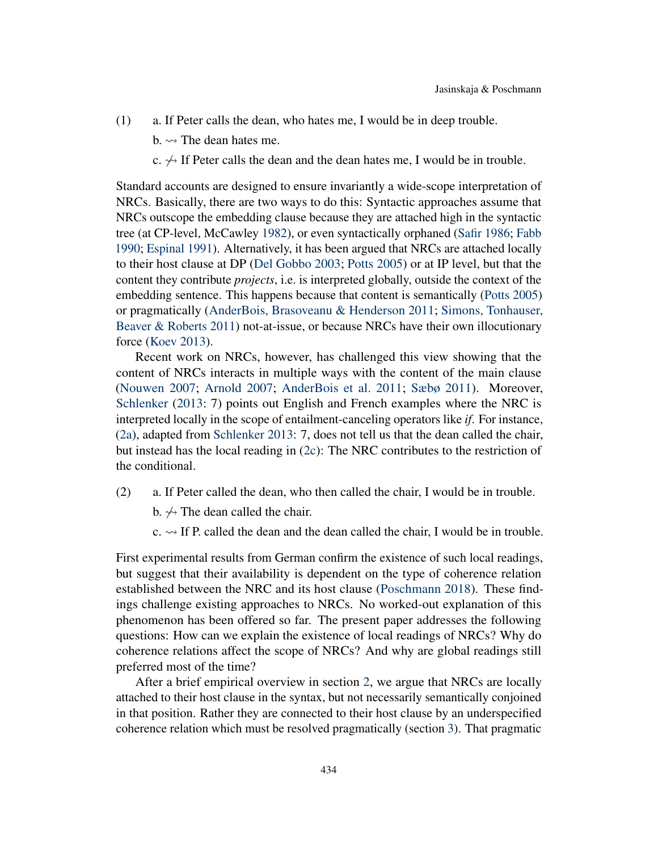- <span id="page-1-0"></span>(1) a. If Peter calls the dean, who hates me, I would be in deep trouble.
	- b.  $\rightsquigarrow$  The dean hates me.
	- c.  $\leftrightarrow$  If Peter calls the dean and the dean hates me, I would be in trouble.

Standard accounts are designed to ensure invariantly a wide-scope interpretation of NRCs. Basically, there are two ways to do this: Syntactic approaches assume that NRCs outscope the embedding clause because they are attached high in the syntactic tree (at CP-level, McCawley [1982\)](#page-18-0), or even syntactically orphaned [\(Safir](#page-19-1) [1986;](#page-19-1) [Fabb](#page-18-1) [1990;](#page-18-1) [Espinal](#page-18-2) [1991\)](#page-18-2). Alternatively, it has been argued that NRCs are attached locally to their host clause at DP [\(Del Gobbo](#page-17-0) [2003;](#page-17-0) [Potts](#page-19-2) [2005\)](#page-19-2) or at IP level, but that the content they contribute *projects*, i.e. is interpreted globally, outside the context of the embedding sentence. This happens because that content is semantically [\(Potts](#page-19-2) [2005\)](#page-19-2) or pragmatically [\(AnderBois, Brasoveanu & Henderson](#page-17-1) [2011;](#page-17-1) [Simons, Tonhauser,](#page-19-3) [Beaver & Roberts](#page-19-3) [2011\)](#page-19-3) not-at-issue, or because NRCs have their own illocutionary force [\(Koev](#page-18-3) [2013\)](#page-18-3).

Recent work on NRCs, however, has challenged this view showing that the content of NRCs interacts in multiple ways with the content of the main clause [\(Nouwen](#page-18-4) [2007;](#page-18-4) [Arnold](#page-17-2) [2007;](#page-17-2) [AnderBois et al.](#page-17-1) [2011;](#page-17-1) [Sæbø](#page-19-4) [2011\)](#page-19-4). Moreover, [Schlenker](#page-19-0) [\(2013:](#page-19-0) 7) points out English and French examples where the NRC is interpreted locally in the scope of entailment-canceling operators like *if*. For instance, [\(2a\)](#page-1-1), adapted from [Schlenker](#page-19-0) [2013:](#page-19-0) 7, does not tell us that the dean called the chair, but instead has the local reading in [\(2c\)](#page-1-2): The NRC contributes to the restriction of the conditional.

- <span id="page-1-1"></span>(2) a. If Peter called the dean, who then called the chair, I would be in trouble.
	- b.  $\leftrightarrow$  The dean called the chair.
	- $c. \rightarrow$  If P. called the dean and the dean called the chair, I would be in trouble.

<span id="page-1-2"></span>First experimental results from German confirm the existence of such local readings, but suggest that their availability is dependent on the type of coherence relation established between the NRC and its host clause [\(Poschmann](#page-19-5) [2018\)](#page-19-5). These findings challenge existing approaches to NRCs. No worked-out explanation of this phenomenon has been offered so far. The present paper addresses the following questions: How can we explain the existence of local readings of NRCs? Why do coherence relations affect the scope of NRCs? And why are global readings still preferred most of the time?

After a brief empirical overview in section [2,](#page-2-0) we argue that NRCs are locally attached to their host clause in the syntax, but not necessarily semantically conjoined in that position. Rather they are connected to their host clause by an underspecified coherence relation which must be resolved pragmatically (section [3\)](#page-4-0). That pragmatic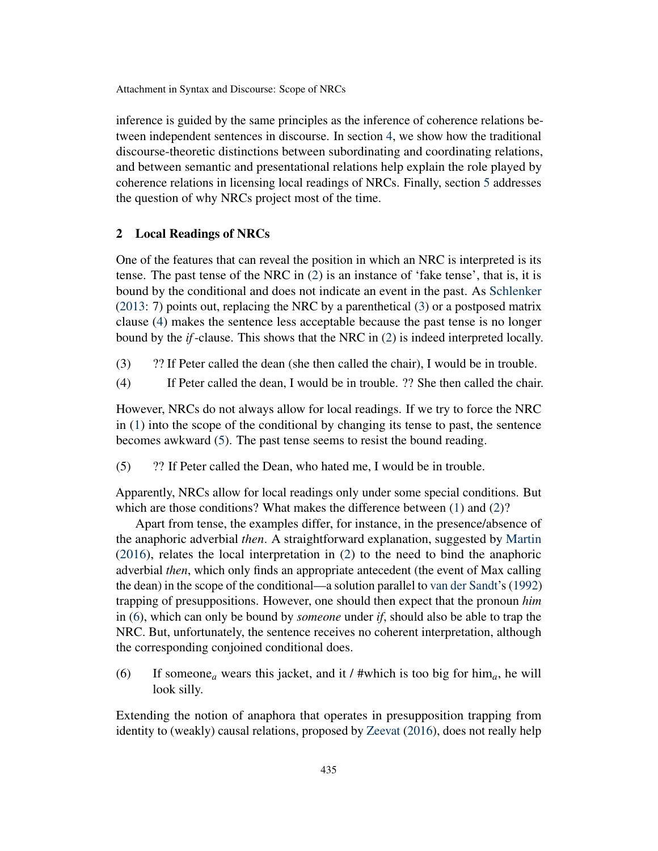inference is guided by the same principles as the inference of coherence relations between independent sentences in discourse. In section [4,](#page-6-0) we show how the traditional discourse-theoretic distinctions between subordinating and coordinating relations, and between semantic and presentational relations help explain the role played by coherence relations in licensing local readings of NRCs. Finally, section [5](#page-14-0) addresses the question of why NRCs project most of the time.

#### <span id="page-2-0"></span>2 Local Readings of NRCs

One of the features that can reveal the position in which an NRC is interpreted is its tense. The past tense of the NRC in [\(2\)](#page-1-1) is an instance of 'fake tense', that is, it is bound by the conditional and does not indicate an event in the past. As [Schlenker](#page-19-0) [\(2013:](#page-19-0) 7) points out, replacing the NRC by a parenthetical [\(3\)](#page-2-1) or a postposed matrix clause [\(4\)](#page-2-2) makes the sentence less acceptable because the past tense is no longer bound by the *if*-clause. This shows that the NRC in [\(2\)](#page-1-1) is indeed interpreted locally.

- <span id="page-2-1"></span>(3) ?? If Peter called the dean (she then called the chair), I would be in trouble.
- <span id="page-2-2"></span>(4) If Peter called the dean, I would be in trouble. ?? She then called the chair.

However, NRCs do not always allow for local readings. If we try to force the NRC in [\(1\)](#page-1-0) into the scope of the conditional by changing its tense to past, the sentence becomes awkward [\(5\)](#page-2-3). The past tense seems to resist the bound reading.

<span id="page-2-3"></span>(5) ?? If Peter called the Dean, who hated me, I would be in trouble.

Apparently, NRCs allow for local readings only under some special conditions. But which are those conditions? What makes the difference between [\(1\)](#page-1-0) and [\(2\)](#page-1-1)?

Apart from tense, the examples differ, for instance, in the presence/absence of the anaphoric adverbial *then*. A straightforward explanation, suggested by [Martin](#page-18-5) [\(2016\)](#page-18-5), relates the local interpretation in [\(2\)](#page-1-1) to the need to bind the anaphoric adverbial *then*, which only finds an appropriate antecedent (the event of Max calling the dean) in the scope of the conditional—a solution parallel to [van der Sandt'](#page-19-6)s [\(1992\)](#page-19-6) trapping of presuppositions. However, one should then expect that the pronoun *him* in [\(6\)](#page-2-4), which can only be bound by *someone* under *if*, should also be able to trap the NRC. But, unfortunately, the sentence receives no coherent interpretation, although the corresponding conjoined conditional does.

<span id="page-2-4"></span>(6) If someone<sub>a</sub> wears this jacket, and it / #which is too big for him<sub>a</sub>, he will look silly.

Extending the notion of anaphora that operates in presupposition trapping from identity to (weakly) causal relations, proposed by [Zeevat](#page-19-7) [\(2016\)](#page-19-7), does not really help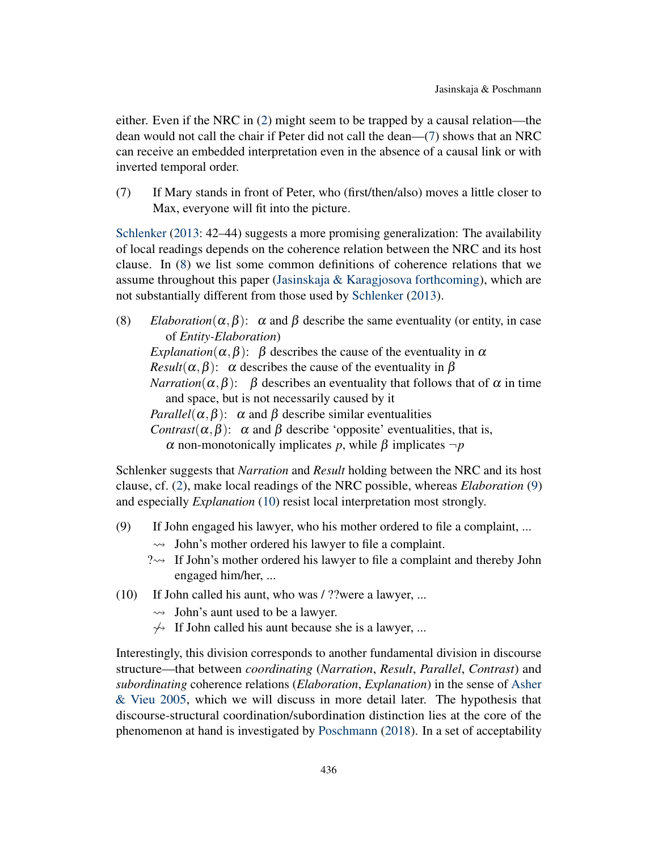either. Even if the NRC in [\(2\)](#page-1-1) might seem to be trapped by a causal relation—the dean would not call the chair if Peter did not call the dean—[\(7\)](#page-3-0) shows that an NRC can receive an embedded interpretation even in the absence of a causal link or with inverted temporal order.

<span id="page-3-0"></span>(7) If Mary stands in front of Peter, who (first/then/also) moves a little closer to Max, everyone will fit into the picture.

[Schlenker](#page-19-0) [\(2013:](#page-19-0) 42–44) suggests a more promising generalization: The availability of local readings depends on the coherence relation between the NRC and its host clause. In [\(8\)](#page-3-1) we list some common definitions of coherence relations that we assume throughout this paper (Jasinskaja  $\&$  Karagjosova [forthcoming\)](#page-18-6), which are not substantially different from those used by [Schlenker](#page-19-0) [\(2013\)](#page-19-0).

<span id="page-3-1"></span>(8) *Elaboration*( $\alpha, \beta$ ):  $\alpha$  and  $\beta$  describe the same eventuality (or entity, in case of *Entity-Elaboration*) *Explanation*( $\alpha, \beta$ ):  $\beta$  describes the cause of the eventuality in  $\alpha$ *Result*( $\alpha, \beta$ ):  $\alpha$  describes the cause of the eventuality in  $\beta$ *Narration*( $\alpha, \beta$ ):  $\beta$  describes an eventuality that follows that of  $\alpha$  in time and space, but is not necessarily caused by it *Parallel*( $\alpha$ , $\beta$ ):  $\alpha$  and  $\beta$  describe similar eventualities *Contrast*( $\alpha, \beta$ ):  $\alpha$  and  $\beta$  describe 'opposite' eventualities, that is, α non-monotonically implicates *p*, while β implicates ¬*p*

Schlenker suggests that *Narration* and *Result* holding between the NRC and its host clause, cf. [\(2\)](#page-1-1), make local readings of the NRC possible, whereas *Elaboration* [\(9\)](#page-3-2) and especially *Explanation* [\(10\)](#page-3-3) resist local interpretation most strongly.

- <span id="page-3-2"></span>(9) If John engaged his lawyer, who his mother ordered to file a complaint, ...
	- $\rightarrow$  John's mother ordered his lawyer to file a complaint.
	- $? \rightarrow$  If John's mother ordered his lawyer to file a complaint and thereby John engaged him/her, ...
- <span id="page-3-3"></span>(10) If John called his aunt, who was / ??were a lawyer, ...
	- $\rightarrow$  John's aunt used to be a lawyer.
	- $\rightarrow$  If John called his aunt because she is a lawyer, ...

Interestingly, this division corresponds to another fundamental division in discourse structure—that between *coordinating* (*Narration*, *Result*, *Parallel*, *Contrast*) and *subordinating* coherence relations (*Elaboration*, *Explanation*) in the sense of [Asher](#page-17-3) [& Vieu](#page-17-3) [2005,](#page-17-3) which we will discuss in more detail later. The hypothesis that discourse-structural coordination/subordination distinction lies at the core of the phenomenon at hand is investigated by [Poschmann](#page-19-5) [\(2018\)](#page-19-5). In a set of acceptability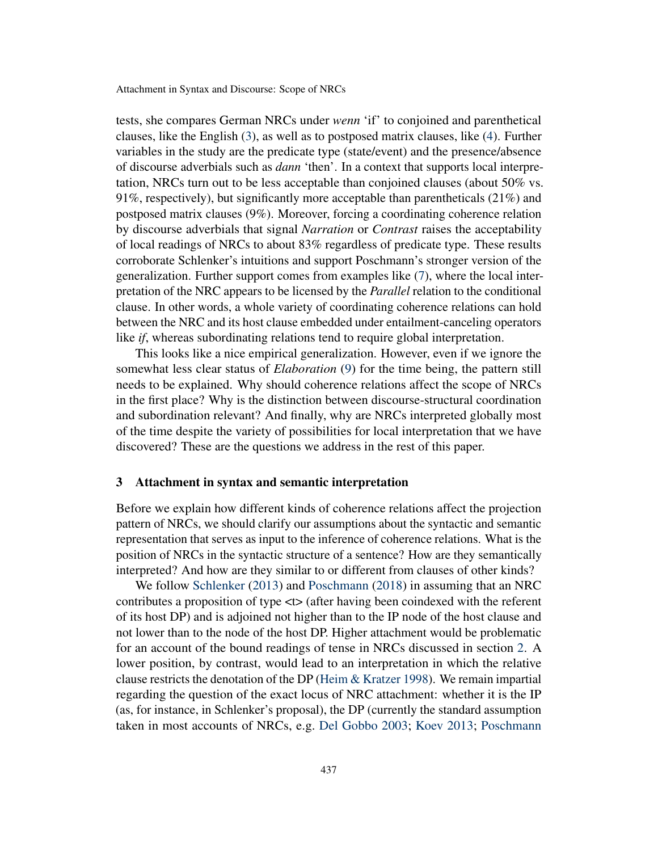tests, she compares German NRCs under *wenn* 'if' to conjoined and parenthetical clauses, like the English [\(3\)](#page-2-1), as well as to postposed matrix clauses, like [\(4\)](#page-2-2). Further variables in the study are the predicate type (state/event) and the presence/absence of discourse adverbials such as *dann* 'then'. In a context that supports local interpretation, NRCs turn out to be less acceptable than conjoined clauses (about 50% vs. 91%, respectively), but significantly more acceptable than parentheticals (21%) and postposed matrix clauses (9%). Moreover, forcing a coordinating coherence relation by discourse adverbials that signal *Narration* or *Contrast* raises the acceptability of local readings of NRCs to about 83% regardless of predicate type. These results corroborate Schlenker's intuitions and support Poschmann's stronger version of the generalization. Further support comes from examples like [\(7\)](#page-3-0), where the local interpretation of the NRC appears to be licensed by the *Parallel* relation to the conditional clause. In other words, a whole variety of coordinating coherence relations can hold between the NRC and its host clause embedded under entailment-canceling operators like *if*, whereas subordinating relations tend to require global interpretation.

This looks like a nice empirical generalization. However, even if we ignore the somewhat less clear status of *Elaboration* [\(9\)](#page-3-2) for the time being, the pattern still needs to be explained. Why should coherence relations affect the scope of NRCs in the first place? Why is the distinction between discourse-structural coordination and subordination relevant? And finally, why are NRCs interpreted globally most of the time despite the variety of possibilities for local interpretation that we have discovered? These are the questions we address in the rest of this paper.

#### <span id="page-4-0"></span>3 Attachment in syntax and semantic interpretation

Before we explain how different kinds of coherence relations affect the projection pattern of NRCs, we should clarify our assumptions about the syntactic and semantic representation that serves as input to the inference of coherence relations. What is the position of NRCs in the syntactic structure of a sentence? How are they semantically interpreted? And how are they similar to or different from clauses of other kinds?

We follow [Schlenker](#page-19-0) [\(2013\)](#page-19-0) and [Poschmann](#page-19-5) [\(2018\)](#page-19-5) in assuming that an NRC contributes a proposition of type  $\lt\gt$  (after having been coindexed with the referent of its host DP) and is adjoined not higher than to the IP node of the host clause and not lower than to the node of the host DP. Higher attachment would be problematic for an account of the bound readings of tense in NRCs discussed in section [2.](#page-2-0) A lower position, by contrast, would lead to an interpretation in which the relative clause restricts the denotation of the DP [\(Heim & Kratzer](#page-18-7) [1998\)](#page-18-7). We remain impartial regarding the question of the exact locus of NRC attachment: whether it is the IP (as, for instance, in Schlenker's proposal), the DP (currently the standard assumption taken in most accounts of NRCs, e.g. [Del Gobbo](#page-17-0) [2003;](#page-17-0) [Koev](#page-18-3) [2013;](#page-18-3) [Poschmann](#page-19-5)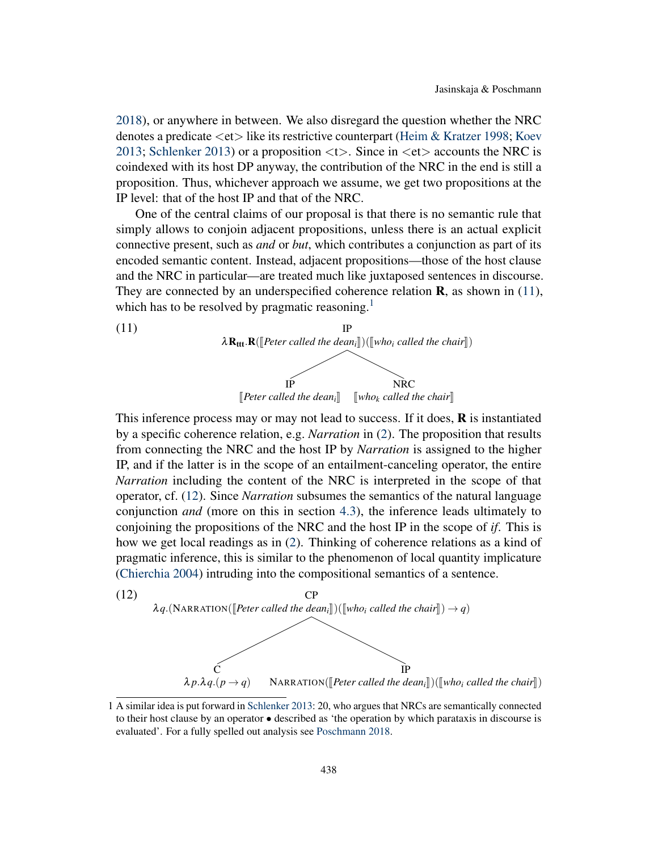[2018\)](#page-19-5), or anywhere in between. We also disregard the question whether the NRC denotes a predicate  $\langle$ et $\rangle$  like its restrictive counterpart [\(Heim & Kratzer](#page-18-7) [1998;](#page-18-7) [Koev](#page-18-3) [2013;](#page-18-3) [Schlenker](#page-19-0) [2013\)](#page-19-0) or a proposition  $\langle t \rangle$ . Since in  $\langle et \rangle$  accounts the NRC is coindexed with its host DP anyway, the contribution of the NRC in the end is still a proposition. Thus, whichever approach we assume, we get two propositions at the IP level: that of the host IP and that of the NRC.

One of the central claims of our proposal is that there is no semantic rule that simply allows to conjoin adjacent propositions, unless there is an actual explicit connective present, such as *and* or *but*, which contributes a conjunction as part of its encoded semantic content. Instead, adjacent propositions—those of the host clause and the NRC in particular—are treated much like juxtaposed sentences in discourse. They are connected by an underspecified coherence relation  $\bf{R}$ , as shown in [\(11\)](#page-5-0), which has to be resolved by pragmatic reasoning.<sup>[1](#page-0-0)</sup>

<span id="page-5-0"></span>

This inference process may or may not lead to success. If it does,  $\bf{R}$  is instantiated by a specific coherence relation, e.g. *Narration* in [\(2\)](#page-1-1). The proposition that results from connecting the NRC and the host IP by *Narration* is assigned to the higher IP, and if the latter is in the scope of an entailment-canceling operator, the entire *Narration* including the content of the NRC is interpreted in the scope of that operator, cf. [\(12\)](#page-5-1). Since *Narration* subsumes the semantics of the natural language conjunction *and* (more on this in section [4.3\)](#page-12-0), the inference leads ultimately to conjoining the propositions of the NRC and the host IP in the scope of *if*. This is how we get local readings as in [\(2\)](#page-1-1). Thinking of coherence relations as a kind of pragmatic inference, this is similar to the phenomenon of local quantity implicature [\(Chierchia](#page-17-4) [2004\)](#page-17-4) intruding into the compositional semantics of a sentence.

<span id="page-5-1"></span>

<sup>1</sup> A similar idea is put forward in [Schlenker](#page-19-0) [2013:](#page-19-0) 20, who argues that NRCs are semantically connected to their host clause by an operator • described as 'the operation by which parataxis in discourse is evaluated'. For a fully spelled out analysis see [Poschmann](#page-19-5) [2018.](#page-19-5)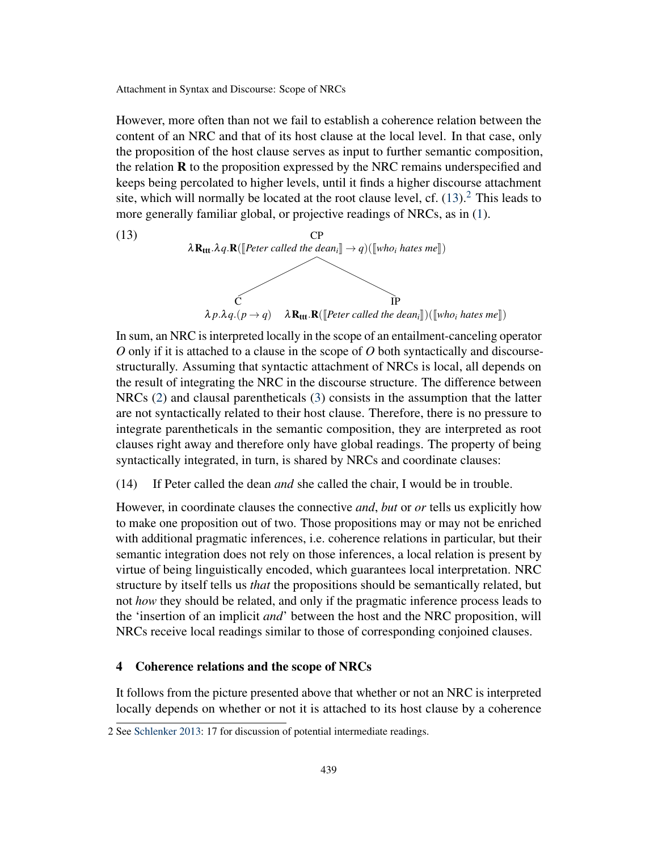However, more often than not we fail to establish a coherence relation between the content of an NRC and that of its host clause at the local level. In that case, only the proposition of the host clause serves as input to further semantic composition, the relation  **to the proposition expressed by the NRC remains underspecified and** keeps being percolated to higher levels, until it finds a higher discourse attachment site, which will normally be located at the root clause level, cf.  $(13)$ <sup>[2](#page-0-0)</sup>. This leads to more generally familiar global, or projective readings of NRCs, as in [\(1\)](#page-1-0).

<span id="page-6-1"></span>

In sum, an NRC is interpreted locally in the scope of an entailment-canceling operator *O* only if it is attached to a clause in the scope of *O* both syntactically and discoursestructurally. Assuming that syntactic attachment of NRCs is local, all depends on the result of integrating the NRC in the discourse structure. The difference between NRCs [\(2\)](#page-1-1) and clausal parentheticals [\(3\)](#page-2-1) consists in the assumption that the latter are not syntactically related to their host clause. Therefore, there is no pressure to integrate parentheticals in the semantic composition, they are interpreted as root clauses right away and therefore only have global readings. The property of being syntactically integrated, in turn, is shared by NRCs and coordinate clauses:

(14) If Peter called the dean *and* she called the chair, I would be in trouble.

However, in coordinate clauses the connective *and*, *but* or *or* tells us explicitly how to make one proposition out of two. Those propositions may or may not be enriched with additional pragmatic inferences, i.e. coherence relations in particular, but their semantic integration does not rely on those inferences, a local relation is present by virtue of being linguistically encoded, which guarantees local interpretation. NRC structure by itself tells us *that* the propositions should be semantically related, but not *how* they should be related, and only if the pragmatic inference process leads to the 'insertion of an implicit *and*' between the host and the NRC proposition, will NRCs receive local readings similar to those of corresponding conjoined clauses.

# <span id="page-6-0"></span>4 Coherence relations and the scope of NRCs

It follows from the picture presented above that whether or not an NRC is interpreted locally depends on whether or not it is attached to its host clause by a coherence

<sup>2</sup> See [Schlenker](#page-19-0) [2013:](#page-19-0) 17 for discussion of potential intermediate readings.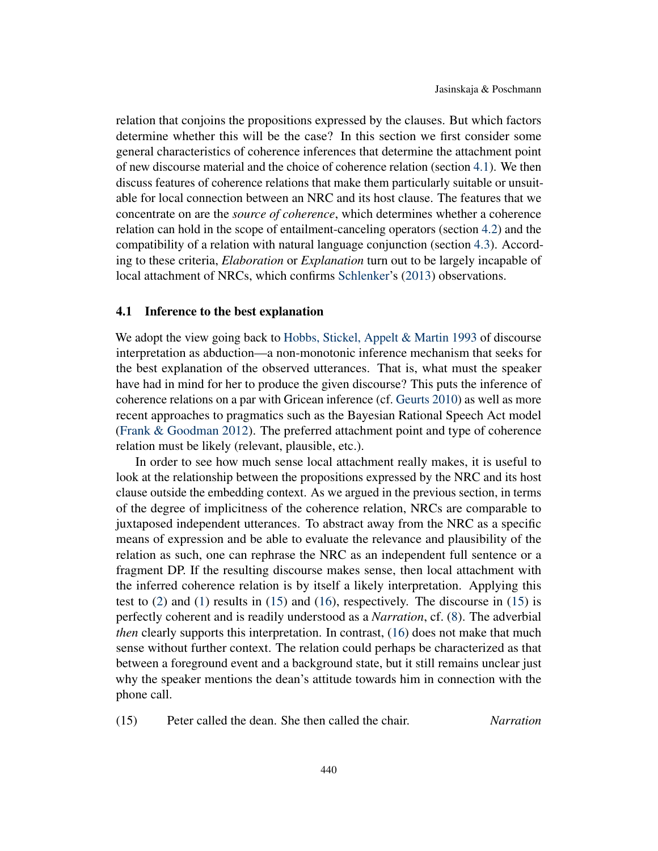relation that conjoins the propositions expressed by the clauses. But which factors determine whether this will be the case? In this section we first consider some general characteristics of coherence inferences that determine the attachment point of new discourse material and the choice of coherence relation (section [4.1\)](#page-7-0). We then discuss features of coherence relations that make them particularly suitable or unsuitable for local connection between an NRC and its host clause. The features that we concentrate on are the *source of coherence*, which determines whether a coherence relation can hold in the scope of entailment-canceling operators (section [4.2\)](#page-9-0) and the compatibility of a relation with natural language conjunction (section [4.3\)](#page-12-0). According to these criteria, *Elaboration* or *Explanation* turn out to be largely incapable of local attachment of NRCs, which confirms [Schlenker'](#page-19-0)s [\(2013\)](#page-19-0) observations.

#### <span id="page-7-0"></span>4.1 Inference to the best explanation

We adopt the view going back to [Hobbs, Stickel, Appelt & Martin](#page-18-8) [1993](#page-18-8) of discourse interpretation as abduction—a non-monotonic inference mechanism that seeks for the best explanation of the observed utterances. That is, what must the speaker have had in mind for her to produce the given discourse? This puts the inference of coherence relations on a par with Gricean inference (cf. [Geurts](#page-18-9) [2010\)](#page-18-9) as well as more recent approaches to pragmatics such as the Bayesian Rational Speech Act model [\(Frank & Goodman](#page-18-10) [2012\)](#page-18-10). The preferred attachment point and type of coherence relation must be likely (relevant, plausible, etc.).

In order to see how much sense local attachment really makes, it is useful to look at the relationship between the propositions expressed by the NRC and its host clause outside the embedding context. As we argued in the previous section, in terms of the degree of implicitness of the coherence relation, NRCs are comparable to juxtaposed independent utterances. To abstract away from the NRC as a specific means of expression and be able to evaluate the relevance and plausibility of the relation as such, one can rephrase the NRC as an independent full sentence or a fragment DP. If the resulting discourse makes sense, then local attachment with the inferred coherence relation is by itself a likely interpretation. Applying this test to [\(2\)](#page-1-1) and [\(1\)](#page-1-0) results in [\(15\)](#page-7-1) and [\(16\)](#page-8-0), respectively. The discourse in [\(15\)](#page-7-1) is perfectly coherent and is readily understood as a *Narration*, cf. [\(8\)](#page-3-1). The adverbial *then* clearly supports this interpretation. In contrast, [\(16\)](#page-8-0) does not make that much sense without further context. The relation could perhaps be characterized as that between a foreground event and a background state, but it still remains unclear just why the speaker mentions the dean's attitude towards him in connection with the phone call.

<span id="page-7-1"></span>(15) Peter called the dean. She then called the chair. *Narration*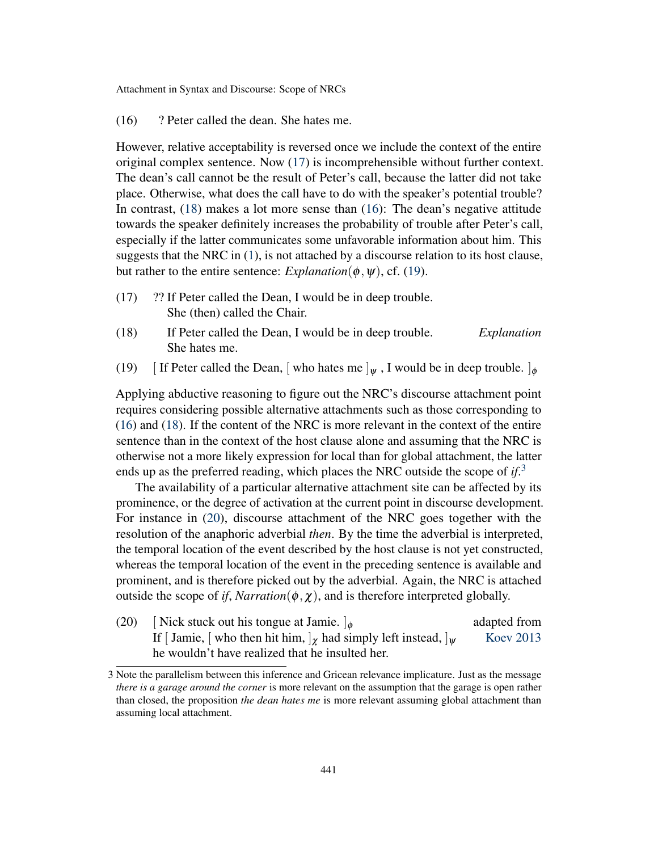<span id="page-8-0"></span>(16) ? Peter called the dean. She hates me.

However, relative acceptability is reversed once we include the context of the entire original complex sentence. Now [\(17\)](#page-8-1) is incomprehensible without further context. The dean's call cannot be the result of Peter's call, because the latter did not take place. Otherwise, what does the call have to do with the speaker's potential trouble? In contrast, [\(18\)](#page-8-2) makes a lot more sense than [\(16\)](#page-8-0): The dean's negative attitude towards the speaker definitely increases the probability of trouble after Peter's call, especially if the latter communicates some unfavorable information about him. This suggests that the NRC in  $(1)$ , is not attached by a discourse relation to its host clause, but rather to the entire sentence: *Explanation*( $\phi$ ,  $\psi$ ), cf. [\(19\)](#page-8-3).

- <span id="page-8-1"></span>(17) ?? If Peter called the Dean, I would be in deep trouble. She (then) called the Chair.
- <span id="page-8-2"></span>(18) If Peter called the Dean, I would be in deep trouble. *Explanation* She hates me.
- <span id="page-8-3"></span>(19) [ If Peter called the Dean, [ who hates me  $\vert_{\psi}$  , I would be in deep trouble.  $\vert_{\phi}$

Applying abductive reasoning to figure out the NRC's discourse attachment point requires considering possible alternative attachments such as those corresponding to [\(16\)](#page-8-0) and [\(18\)](#page-8-2). If the content of the NRC is more relevant in the context of the entire sentence than in the context of the host clause alone and assuming that the NRC is otherwise not a more likely expression for local than for global attachment, the latter ends up as the preferred reading, which places the NRC outside the scope of *if*. [3](#page-0-0)

The availability of a particular alternative attachment site can be affected by its prominence, or the degree of activation at the current point in discourse development. For instance in [\(20\)](#page-8-4), discourse attachment of the NRC goes together with the resolution of the anaphoric adverbial *then*. By the time the adverbial is interpreted, the temporal location of the event described by the host clause is not yet constructed, whereas the temporal location of the event in the preceding sentence is available and prominent, and is therefore picked out by the adverbial. Again, the NRC is attached outside the scope of *if*, *Narration*( $\phi$ ,  $\chi$ ), and is therefore interpreted globally.

<span id="page-8-4"></span>(20) [ Nick stuck out his tongue at Jamie.  $\phi$  adapted from a adapted from If [ Jamie. [ who then hit him,  $\phi$  had simply left instead,  $\phi$  [ Koev 2013] If [ Jamie, [ who then hit him,  $\vert_{\gamma}$  had simply left instead,  $\vert_{\psi}$ he wouldn't have realized that he insulted her.

<sup>3</sup> Note the parallelism between this inference and Gricean relevance implicature. Just as the message *there is a garage around the corner* is more relevant on the assumption that the garage is open rather than closed, the proposition *the dean hates me* is more relevant assuming global attachment than assuming local attachment.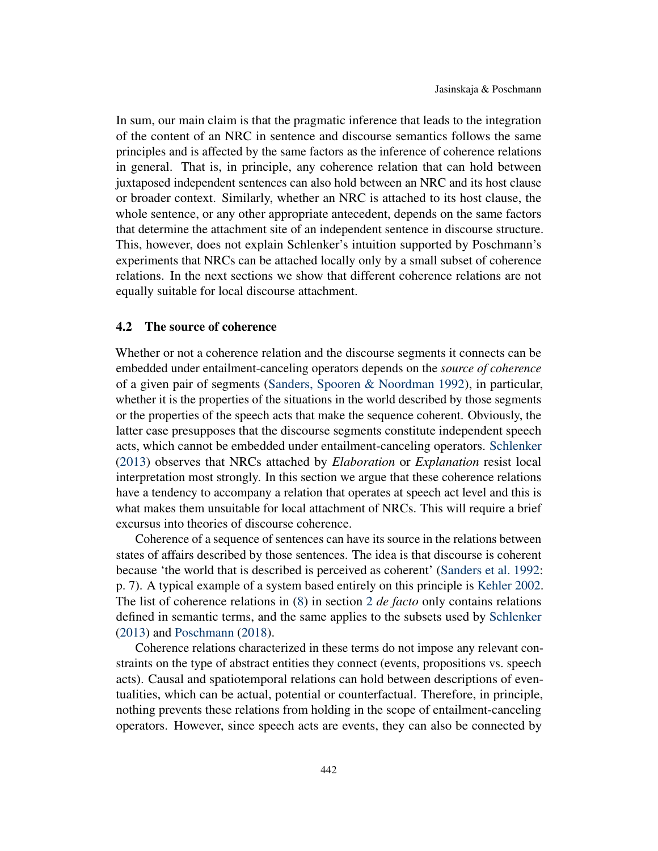In sum, our main claim is that the pragmatic inference that leads to the integration of the content of an NRC in sentence and discourse semantics follows the same principles and is affected by the same factors as the inference of coherence relations in general. That is, in principle, any coherence relation that can hold between juxtaposed independent sentences can also hold between an NRC and its host clause or broader context. Similarly, whether an NRC is attached to its host clause, the whole sentence, or any other appropriate antecedent, depends on the same factors that determine the attachment site of an independent sentence in discourse structure. This, however, does not explain Schlenker's intuition supported by Poschmann's experiments that NRCs can be attached locally only by a small subset of coherence relations. In the next sections we show that different coherence relations are not equally suitable for local discourse attachment.

## <span id="page-9-0"></span>4.2 The source of coherence

Whether or not a coherence relation and the discourse segments it connects can be embedded under entailment-canceling operators depends on the *source of coherence* of a given pair of segments [\(Sanders, Spooren & Noordman](#page-19-8) [1992\)](#page-19-8), in particular, whether it is the properties of the situations in the world described by those segments or the properties of the speech acts that make the sequence coherent. Obviously, the latter case presupposes that the discourse segments constitute independent speech acts, which cannot be embedded under entailment-canceling operators. [Schlenker](#page-19-0) [\(2013\)](#page-19-0) observes that NRCs attached by *Elaboration* or *Explanation* resist local interpretation most strongly. In this section we argue that these coherence relations have a tendency to accompany a relation that operates at speech act level and this is what makes them unsuitable for local attachment of NRCs. This will require a brief excursus into theories of discourse coherence.

Coherence of a sequence of sentences can have its source in the relations between states of affairs described by those sentences. The idea is that discourse is coherent because 'the world that is described is perceived as coherent' [\(Sanders et al.](#page-19-8) [1992:](#page-19-8) p. 7). A typical example of a system based entirely on this principle is [Kehler](#page-18-11) [2002.](#page-18-11) The list of coherence relations in [\(8\)](#page-3-1) in section [2](#page-2-0) *de facto* only contains relations defined in semantic terms, and the same applies to the subsets used by [Schlenker](#page-19-0) [\(2013\)](#page-19-0) and [Poschmann](#page-19-5) [\(2018\)](#page-19-5).

Coherence relations characterized in these terms do not impose any relevant constraints on the type of abstract entities they connect (events, propositions vs. speech acts). Causal and spatiotemporal relations can hold between descriptions of eventualities, which can be actual, potential or counterfactual. Therefore, in principle, nothing prevents these relations from holding in the scope of entailment-canceling operators. However, since speech acts are events, they can also be connected by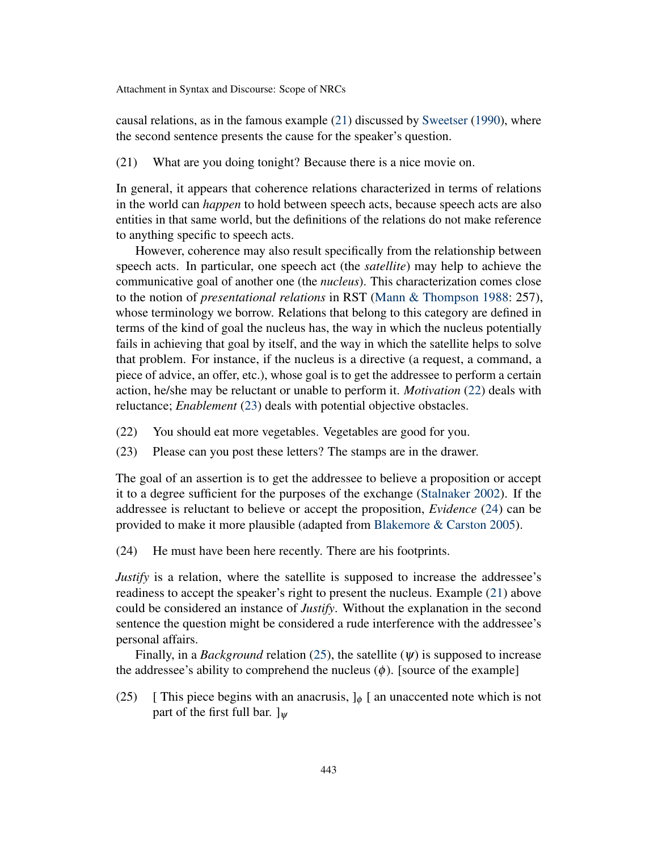causal relations, as in the famous example [\(21\)](#page-10-0) discussed by [Sweetser](#page-19-9) [\(1990\)](#page-19-9), where the second sentence presents the cause for the speaker's question.

<span id="page-10-0"></span>(21) What are you doing tonight? Because there is a nice movie on.

In general, it appears that coherence relations characterized in terms of relations in the world can *happen* to hold between speech acts, because speech acts are also entities in that same world, but the definitions of the relations do not make reference to anything specific to speech acts.

However, coherence may also result specifically from the relationship between speech acts. In particular, one speech act (the *satellite*) may help to achieve the communicative goal of another one (the *nucleus*). This characterization comes close to the notion of *presentational relations* in RST [\(Mann & Thompson](#page-18-12) [1988:](#page-18-12) 257), whose terminology we borrow. Relations that belong to this category are defined in terms of the kind of goal the nucleus has, the way in which the nucleus potentially fails in achieving that goal by itself, and the way in which the satellite helps to solve that problem. For instance, if the nucleus is a directive (a request, a command, a piece of advice, an offer, etc.), whose goal is to get the addressee to perform a certain action, he/she may be reluctant or unable to perform it. *Motivation* [\(22\)](#page-10-1) deals with reluctance; *Enablement* [\(23\)](#page-10-2) deals with potential objective obstacles.

- <span id="page-10-1"></span>(22) You should eat more vegetables. Vegetables are good for you.
- <span id="page-10-2"></span>(23) Please can you post these letters? The stamps are in the drawer.

The goal of an assertion is to get the addressee to believe a proposition or accept it to a degree sufficient for the purposes of the exchange [\(Stalnaker](#page-19-10) [2002\)](#page-19-10). If the addressee is reluctant to believe or accept the proposition, *Evidence* [\(24\)](#page-10-3) can be provided to make it more plausible (adapted from [Blakemore & Carston](#page-17-5) [2005\)](#page-17-5).

<span id="page-10-3"></span>(24) He must have been here recently. There are his footprints.

*Justify* is a relation, where the satellite is supposed to increase the addressee's readiness to accept the speaker's right to present the nucleus. Example [\(21\)](#page-10-0) above could be considered an instance of *Justify*. Without the explanation in the second sentence the question might be considered a rude interference with the addressee's personal affairs.

Finally, in a *Background* relation [\(25\)](#page-10-4), the satellite  $(\psi)$  is supposed to increase the addressee's ability to comprehend the nucleus  $(\phi)$ . [source of the example]

<span id="page-10-4"></span>(25) [ This piece begins with an anacrusis,  $J_{\phi}$  [ an unaccented note which is not part of the first full bar.  $]_{\psi}$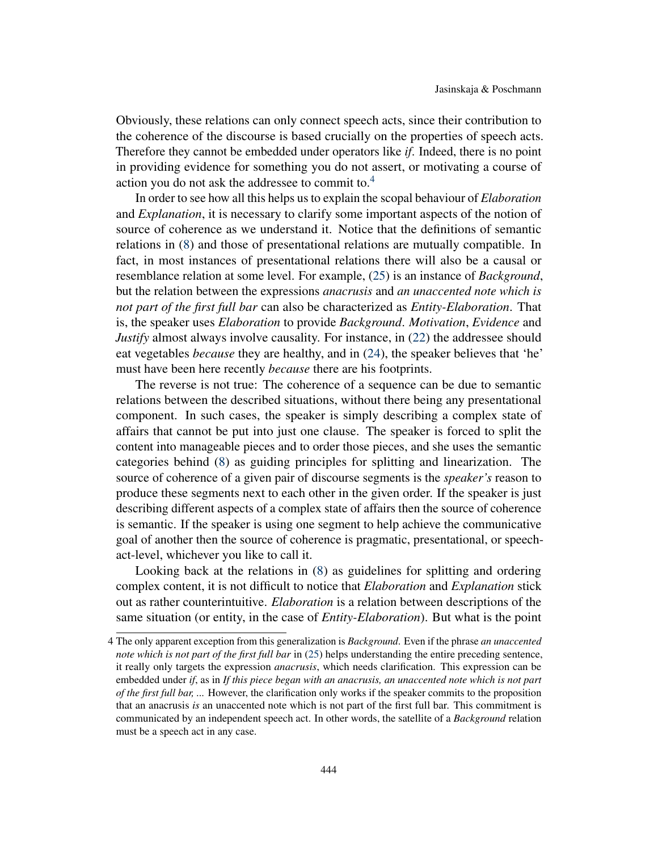Obviously, these relations can only connect speech acts, since their contribution to the coherence of the discourse is based crucially on the properties of speech acts. Therefore they cannot be embedded under operators like *if*. Indeed, there is no point in providing evidence for something you do not assert, or motivating a course of action you do not ask the addressee to commit to.<sup>[4](#page-0-0)</sup>

In order to see how all this helps us to explain the scopal behaviour of *Elaboration* and *Explanation*, it is necessary to clarify some important aspects of the notion of source of coherence as we understand it. Notice that the definitions of semantic relations in [\(8\)](#page-3-1) and those of presentational relations are mutually compatible. In fact, in most instances of presentational relations there will also be a causal or resemblance relation at some level. For example, [\(25\)](#page-10-4) is an instance of *Background*, but the relation between the expressions *anacrusis* and *an unaccented note which is not part of the first full bar* can also be characterized as *Entity-Elaboration*. That is, the speaker uses *Elaboration* to provide *Background*. *Motivation*, *Evidence* and *Justify* almost always involve causality. For instance, in [\(22\)](#page-10-1) the addressee should eat vegetables *because* they are healthy, and in [\(24\)](#page-10-3), the speaker believes that 'he' must have been here recently *because* there are his footprints.

The reverse is not true: The coherence of a sequence can be due to semantic relations between the described situations, without there being any presentational component. In such cases, the speaker is simply describing a complex state of affairs that cannot be put into just one clause. The speaker is forced to split the content into manageable pieces and to order those pieces, and she uses the semantic categories behind [\(8\)](#page-3-1) as guiding principles for splitting and linearization. The source of coherence of a given pair of discourse segments is the *speaker's* reason to produce these segments next to each other in the given order. If the speaker is just describing different aspects of a complex state of affairs then the source of coherence is semantic. If the speaker is using one segment to help achieve the communicative goal of another then the source of coherence is pragmatic, presentational, or speechact-level, whichever you like to call it.

Looking back at the relations in [\(8\)](#page-3-1) as guidelines for splitting and ordering complex content, it is not difficult to notice that *Elaboration* and *Explanation* stick out as rather counterintuitive. *Elaboration* is a relation between descriptions of the same situation (or entity, in the case of *Entity-Elaboration*). But what is the point

<sup>4</sup> The only apparent exception from this generalization is *Background*. Even if the phrase *an unaccented note which is not part of the first full bar* in [\(25\)](#page-10-4) helps understanding the entire preceding sentence, it really only targets the expression *anacrusis*, which needs clarification. This expression can be embedded under *if*, as in *If this piece began with an anacrusis, an unaccented note which is not part of the first full bar, ...* However, the clarification only works if the speaker commits to the proposition that an anacrusis *is* an unaccented note which is not part of the first full bar. This commitment is communicated by an independent speech act. In other words, the satellite of a *Background* relation must be a speech act in any case.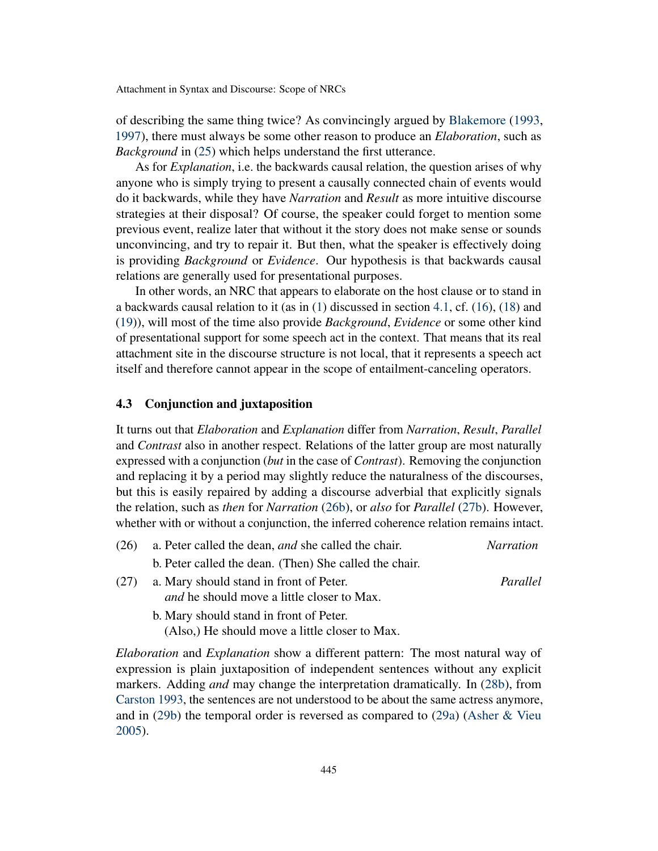of describing the same thing twice? As convincingly argued by [Blakemore](#page-17-6) [\(1993,](#page-17-6) [1997\)](#page-17-7), there must always be some other reason to produce an *Elaboration*, such as *Background* in [\(25\)](#page-10-4) which helps understand the first utterance.

As for *Explanation*, i.e. the backwards causal relation, the question arises of why anyone who is simply trying to present a causally connected chain of events would do it backwards, while they have *Narration* and *Result* as more intuitive discourse strategies at their disposal? Of course, the speaker could forget to mention some previous event, realize later that without it the story does not make sense or sounds unconvincing, and try to repair it. But then, what the speaker is effectively doing is providing *Background* or *Evidence*. Our hypothesis is that backwards causal relations are generally used for presentational purposes.

In other words, an NRC that appears to elaborate on the host clause or to stand in a backwards causal relation to it (as in [\(1\)](#page-1-0) discussed in section [4.1,](#page-7-0) cf. [\(16\)](#page-8-0), [\(18\)](#page-8-2) and [\(19\)](#page-8-3)), will most of the time also provide *Background*, *Evidence* or some other kind of presentational support for some speech act in the context. That means that its real attachment site in the discourse structure is not local, that it represents a speech act itself and therefore cannot appear in the scope of entailment-canceling operators.

## <span id="page-12-0"></span>4.3 Conjunction and juxtaposition

It turns out that *Elaboration* and *Explanation* differ from *Narration*, *Result*, *Parallel* and *Contrast* also in another respect. Relations of the latter group are most naturally expressed with a conjunction (*but* in the case of *Contrast*). Removing the conjunction and replacing it by a period may slightly reduce the naturalness of the discourses, but this is easily repaired by adding a discourse adverbial that explicitly signals the relation, such as *then* for *Narration* [\(26b\)](#page-12-1), or *also* for *Parallel* [\(27b\)](#page-12-2). However, whether with or without a conjunction, the inferred coherence relation remains intact.

<span id="page-12-3"></span><span id="page-12-1"></span>(26) a. Peter called the dean, *and* she called the chair. *Narration*

b. Peter called the dean. (Then) She called the chair.

- <span id="page-12-2"></span>(27) a. Mary should stand in front of Peter. *Parallel and* he should move a little closer to Max.
	- b. Mary should stand in front of Peter. (Also,) He should move a little closer to Max.

*Elaboration* and *Explanation* show a different pattern: The most natural way of expression is plain juxtaposition of independent sentences without any explicit markers. Adding *and* may change the interpretation dramatically. In [\(28b\)](#page-13-0), from [Carston](#page-17-8) [1993,](#page-17-8) the sentences are not understood to be about the same actress anymore, and in [\(29b\)](#page-13-1) the temporal order is reversed as compared to [\(29a\)](#page-13-2) [\(Asher & Vieu](#page-17-3) [2005\)](#page-17-3).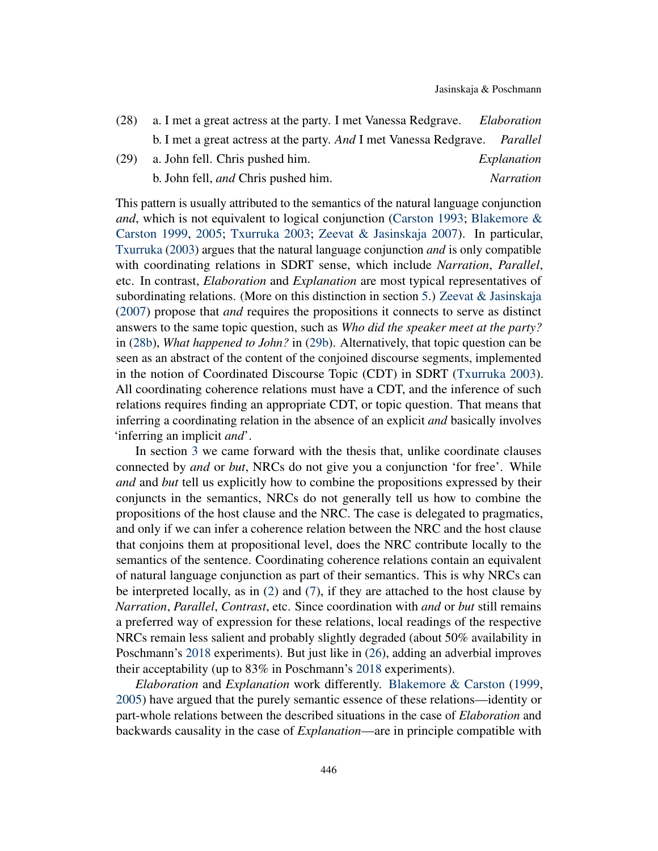<span id="page-13-2"></span><span id="page-13-0"></span>

| (28) | a. I met a great actress at the party. I met Vanessa Redgrave.              | Elaboration      |
|------|-----------------------------------------------------------------------------|------------------|
|      | b. I met a great actress at the party. And I met Vanessa Redgrave. Parallel |                  |
| (29) | a. John fell. Chris pushed him.                                             | Explanation      |
|      | b. John fell, <i>and</i> Chris pushed him.                                  | <i>Narration</i> |

<span id="page-13-1"></span>This pattern is usually attributed to the semantics of the natural language conjunction *and*, which is not equivalent to logical conjunction [\(Carston](#page-17-8) [1993;](#page-17-8) [Blakemore &](#page-17-9) [Carston](#page-17-9) [1999,](#page-17-9) [2005;](#page-17-5) [Txurruka](#page-19-11) [2003;](#page-19-11) [Zeevat & Jasinskaja](#page-19-12) [2007\)](#page-19-12). In particular, [Txurruka](#page-19-11) [\(2003\)](#page-19-11) argues that the natural language conjunction *and* is only compatible with coordinating relations in SDRT sense, which include *Narration*, *Parallel*, etc. In contrast, *Elaboration* and *Explanation* are most typical representatives of subordinating relations. (More on this distinction in section [5.](#page-14-0)) [Zeevat & Jasinskaja](#page-19-12) [\(2007\)](#page-19-12) propose that *and* requires the propositions it connects to serve as distinct answers to the same topic question, such as *Who did the speaker meet at the party?* in [\(28b\)](#page-13-0), *What happened to John?* in [\(29b\)](#page-13-1). Alternatively, that topic question can be seen as an abstract of the content of the conjoined discourse segments, implemented in the notion of Coordinated Discourse Topic (CDT) in SDRT [\(Txurruka](#page-19-11) [2003\)](#page-19-11). All coordinating coherence relations must have a CDT, and the inference of such relations requires finding an appropriate CDT, or topic question. That means that inferring a coordinating relation in the absence of an explicit *and* basically involves 'inferring an implicit *and*'.

In section [3](#page-4-0) we came forward with the thesis that, unlike coordinate clauses connected by *and* or *but*, NRCs do not give you a conjunction 'for free'. While *and* and *but* tell us explicitly how to combine the propositions expressed by their conjuncts in the semantics, NRCs do not generally tell us how to combine the propositions of the host clause and the NRC. The case is delegated to pragmatics, and only if we can infer a coherence relation between the NRC and the host clause that conjoins them at propositional level, does the NRC contribute locally to the semantics of the sentence. Coordinating coherence relations contain an equivalent of natural language conjunction as part of their semantics. This is why NRCs can be interpreted locally, as in [\(2\)](#page-1-1) and [\(7\)](#page-3-0), if they are attached to the host clause by *Narration*, *Parallel*, *Contrast*, etc. Since coordination with *and* or *but* still remains a preferred way of expression for these relations, local readings of the respective NRCs remain less salient and probably slightly degraded (about 50% availability in Poschmann's [2018](#page-19-5) experiments). But just like in [\(26\)](#page-12-3), adding an adverbial improves their acceptability (up to 83% in Poschmann's [2018](#page-19-5) experiments).

*Elaboration* and *Explanation* work differently. [Blakemore & Carston](#page-17-9) [\(1999,](#page-17-9) [2005\)](#page-17-5) have argued that the purely semantic essence of these relations—identity or part-whole relations between the described situations in the case of *Elaboration* and backwards causality in the case of *Explanation*—are in principle compatible with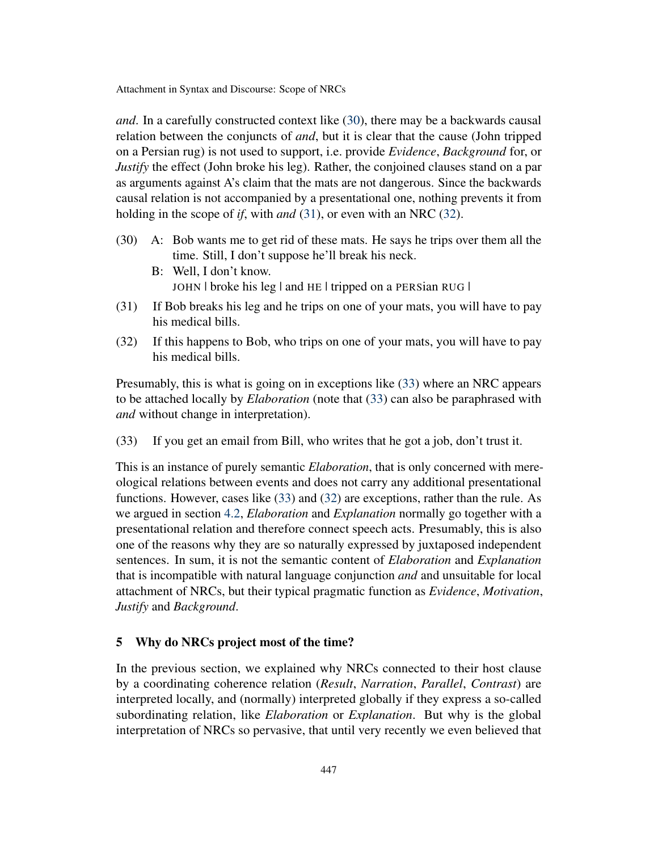*and*. In a carefully constructed context like [\(30\)](#page-14-1), there may be a backwards causal relation between the conjuncts of *and*, but it is clear that the cause (John tripped on a Persian rug) is not used to support, i.e. provide *Evidence*, *Background* for, or *Justify* the effect (John broke his leg). Rather, the conjoined clauses stand on a par as arguments against A's claim that the mats are not dangerous. Since the backwards causal relation is not accompanied by a presentational one, nothing prevents it from holding in the scope of *if*, with *and* [\(31\)](#page-14-2), or even with an NRC [\(32\)](#page-14-3).

- <span id="page-14-1"></span>(30) A: Bob wants me to get rid of these mats. He says he trips over them all the time. Still, I don't suppose he'll break his neck.
	- B: Well, I don't know. JOHN | broke his leg | and HE | tripped on a PERSian RUG |
- <span id="page-14-2"></span>(31) If Bob breaks his leg and he trips on one of your mats, you will have to pay his medical bills.
- <span id="page-14-3"></span>(32) If this happens to Bob, who trips on one of your mats, you will have to pay his medical bills.

Presumably, this is what is going on in exceptions like [\(33\)](#page-14-4) where an NRC appears to be attached locally by *Elaboration* (note that [\(33\)](#page-14-4) can also be paraphrased with *and* without change in interpretation).

<span id="page-14-4"></span>(33) If you get an email from Bill, who writes that he got a job, don't trust it.

This is an instance of purely semantic *Elaboration*, that is only concerned with mereological relations between events and does not carry any additional presentational functions. However, cases like [\(33\)](#page-14-4) and [\(32\)](#page-14-3) are exceptions, rather than the rule. As we argued in section [4.2,](#page-9-0) *Elaboration* and *Explanation* normally go together with a presentational relation and therefore connect speech acts. Presumably, this is also one of the reasons why they are so naturally expressed by juxtaposed independent sentences. In sum, it is not the semantic content of *Elaboration* and *Explanation* that is incompatible with natural language conjunction *and* and unsuitable for local attachment of NRCs, but their typical pragmatic function as *Evidence*, *Motivation*, *Justify* and *Background*.

# <span id="page-14-0"></span>5 Why do NRCs project most of the time?

In the previous section, we explained why NRCs connected to their host clause by a coordinating coherence relation (*Result*, *Narration*, *Parallel*, *Contrast*) are interpreted locally, and (normally) interpreted globally if they express a so-called subordinating relation, like *Elaboration* or *Explanation*. But why is the global interpretation of NRCs so pervasive, that until very recently we even believed that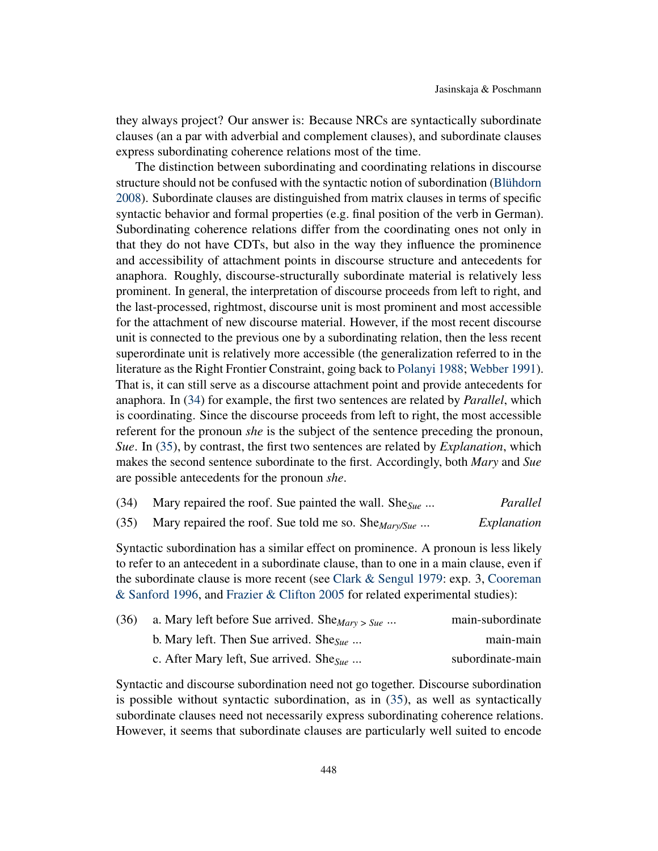they always project? Our answer is: Because NRCs are syntactically subordinate clauses (an a par with adverbial and complement clauses), and subordinate clauses express subordinating coherence relations most of the time.

The distinction between subordinating and coordinating relations in discourse structure should not be confused with the syntactic notion of subordination [\(Blühdorn](#page-17-10) [2008\)](#page-17-10). Subordinate clauses are distinguished from matrix clauses in terms of specific syntactic behavior and formal properties (e.g. final position of the verb in German). Subordinating coherence relations differ from the coordinating ones not only in that they do not have CDTs, but also in the way they influence the prominence and accessibility of attachment points in discourse structure and antecedents for anaphora. Roughly, discourse-structurally subordinate material is relatively less prominent. In general, the interpretation of discourse proceeds from left to right, and the last-processed, rightmost, discourse unit is most prominent and most accessible for the attachment of new discourse material. However, if the most recent discourse unit is connected to the previous one by a subordinating relation, then the less recent superordinate unit is relatively more accessible (the generalization referred to in the literature as the Right Frontier Constraint, going back to [Polanyi](#page-19-13) [1988;](#page-19-13) [Webber](#page-19-14) [1991\)](#page-19-14). That is, it can still serve as a discourse attachment point and provide antecedents for anaphora. In [\(34\)](#page-15-0) for example, the first two sentences are related by *Parallel*, which is coordinating. Since the discourse proceeds from left to right, the most accessible referent for the pronoun *she* is the subject of the sentence preceding the pronoun, *Sue*. In [\(35\)](#page-15-1), by contrast, the first two sentences are related by *Explanation*, which makes the second sentence subordinate to the first. Accordingly, both *Mary* and *Sue* are possible antecedents for the pronoun *she*.

<span id="page-15-0"></span>

|  |  | (34) Mary repaired the roof. Sue painted the wall. She $S_{\text{ue}}$ | Parallel |
|--|--|------------------------------------------------------------------------|----------|
|--|--|------------------------------------------------------------------------|----------|

<span id="page-15-1"></span>(35) Mary repaired the roof. Sue told me so. She*Mary/Sue* ... *Explanation*

Syntactic subordination has a similar effect on prominence. A pronoun is less likely to refer to an antecedent in a subordinate clause, than to one in a main clause, even if the subordinate clause is more recent (see [Clark & Sengul](#page-17-11) [1979:](#page-17-11) exp. 3, [Cooreman](#page-17-12) [& Sanford](#page-17-12) [1996,](#page-17-12) and [Frazier & Clifton](#page-18-13) [2005](#page-18-13) for related experimental studies):

| (36) | a. Mary left before Sue arrived. She $_{Mary \geq Sue \cdots}$ | main-subordinate |
|------|----------------------------------------------------------------|------------------|
|      | b. Mary left. Then Sue arrived. She <sub>Sue</sub>             | main-main        |
|      | c. After Mary left, Sue arrived. She <sub>Sue</sub>            | subordinate-main |

Syntactic and discourse subordination need not go together. Discourse subordination is possible without syntactic subordination, as in [\(35\)](#page-15-1), as well as syntactically subordinate clauses need not necessarily express subordinating coherence relations. However, it seems that subordinate clauses are particularly well suited to encode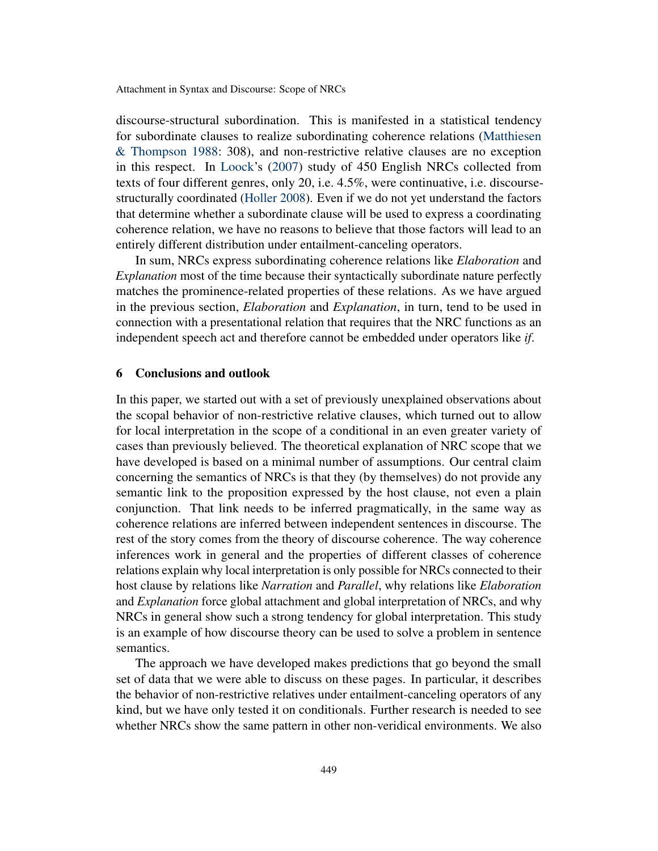discourse-structural subordination. This is manifested in a statistical tendency for subordinate clauses to realize subordinating coherence relations [\(Matthiesen](#page-18-14) [& Thompson](#page-18-14) [1988:](#page-18-14) 308), and non-restrictive relative clauses are no exception in this respect. In [Loock'](#page-18-15)s [\(2007\)](#page-18-15) study of 450 English NRCs collected from texts of four different genres, only 20, i.e. 4.5%, were continuative, i.e. discoursestructurally coordinated [\(Holler](#page-18-16) [2008\)](#page-18-16). Even if we do not yet understand the factors that determine whether a subordinate clause will be used to express a coordinating coherence relation, we have no reasons to believe that those factors will lead to an entirely different distribution under entailment-canceling operators.

In sum, NRCs express subordinating coherence relations like *Elaboration* and *Explanation* most of the time because their syntactically subordinate nature perfectly matches the prominence-related properties of these relations. As we have argued in the previous section, *Elaboration* and *Explanation*, in turn, tend to be used in connection with a presentational relation that requires that the NRC functions as an independent speech act and therefore cannot be embedded under operators like *if*.

### 6 Conclusions and outlook

In this paper, we started out with a set of previously unexplained observations about the scopal behavior of non-restrictive relative clauses, which turned out to allow for local interpretation in the scope of a conditional in an even greater variety of cases than previously believed. The theoretical explanation of NRC scope that we have developed is based on a minimal number of assumptions. Our central claim concerning the semantics of NRCs is that they (by themselves) do not provide any semantic link to the proposition expressed by the host clause, not even a plain conjunction. That link needs to be inferred pragmatically, in the same way as coherence relations are inferred between independent sentences in discourse. The rest of the story comes from the theory of discourse coherence. The way coherence inferences work in general and the properties of different classes of coherence relations explain why local interpretation is only possible for NRCs connected to their host clause by relations like *Narration* and *Parallel*, why relations like *Elaboration* and *Explanation* force global attachment and global interpretation of NRCs, and why NRCs in general show such a strong tendency for global interpretation. This study is an example of how discourse theory can be used to solve a problem in sentence semantics.

The approach we have developed makes predictions that go beyond the small set of data that we were able to discuss on these pages. In particular, it describes the behavior of non-restrictive relatives under entailment-canceling operators of any kind, but we have only tested it on conditionals. Further research is needed to see whether NRCs show the same pattern in other non-veridical environments. We also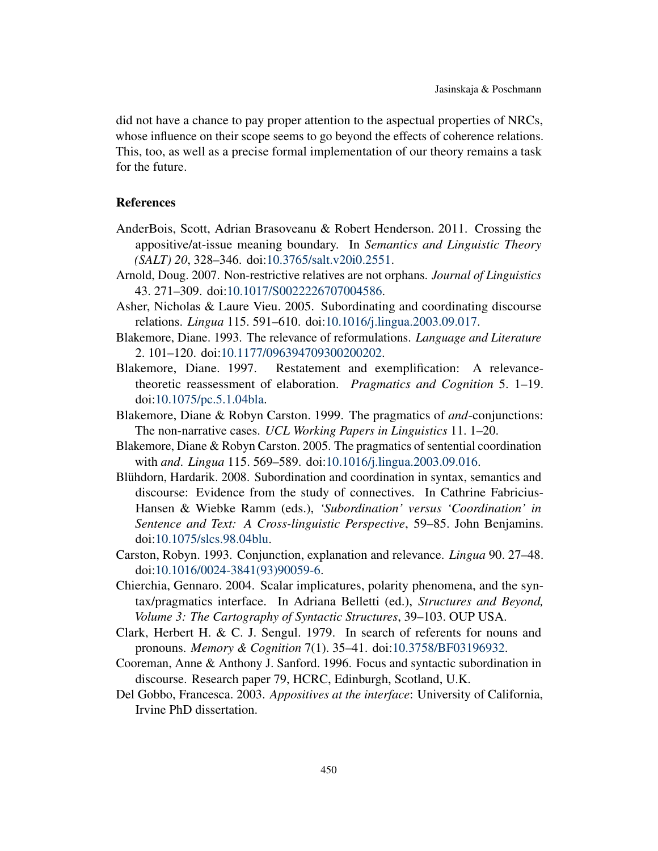did not have a chance to pay proper attention to the aspectual properties of NRCs, whose influence on their scope seems to go beyond the effects of coherence relations. This, too, as well as a precise formal implementation of our theory remains a task for the future.

# References

- <span id="page-17-1"></span>AnderBois, Scott, Adrian Brasoveanu & Robert Henderson. 2011. Crossing the appositive/at-issue meaning boundary. In *Semantics and Linguistic Theory (SALT) 20*, 328–346. doi[:10.3765/salt.v20i0.2551.](http://dx.doi.org/10.3765/salt.v20i0.2551)
- <span id="page-17-2"></span>Arnold, Doug. 2007. Non-restrictive relatives are not orphans. *Journal of Linguistics* 43. 271–309. doi[:10.1017/S0022226707004586.](http://dx.doi.org/10.1017/S0022226707004586)
- <span id="page-17-3"></span>Asher, Nicholas & Laure Vieu. 2005. Subordinating and coordinating discourse relations. *Lingua* 115. 591–610. doi[:10.1016/j.lingua.2003.09.017.](http://dx.doi.org/10.1016/j.lingua.2003.09.017)
- <span id="page-17-6"></span>Blakemore, Diane. 1993. The relevance of reformulations. *Language and Literature* 2. 101–120. doi[:10.1177/096394709300200202.](http://dx.doi.org/10.1177/096394709300200202)
- <span id="page-17-7"></span>Blakemore, Diane. 1997. Restatement and exemplification: A relevancetheoretic reassessment of elaboration. *Pragmatics and Cognition* 5. 1–19. doi[:10.1075/pc.5.1.04bla.](http://dx.doi.org/10.1075/pc.5.1.04bla)
- <span id="page-17-9"></span>Blakemore, Diane & Robyn Carston. 1999. The pragmatics of *and*-conjunctions: The non-narrative cases. *UCL Working Papers in Linguistics* 11. 1–20.
- <span id="page-17-5"></span>Blakemore, Diane & Robyn Carston. 2005. The pragmatics of sentential coordination with *and*. *Lingua* 115. 569–589. doi[:10.1016/j.lingua.2003.09.016.](http://dx.doi.org/10.1016/j.lingua.2003.09.016)
- <span id="page-17-10"></span>Blühdorn, Hardarik. 2008. Subordination and coordination in syntax, semantics and discourse: Evidence from the study of connectives. In Cathrine Fabricius-Hansen & Wiebke Ramm (eds.), *'Subordination' versus 'Coordination' in Sentence and Text: A Cross-linguistic Perspective*, 59–85. John Benjamins. doi[:10.1075/slcs.98.04blu.](http://dx.doi.org/10.1075/slcs.98.04blu)
- <span id="page-17-8"></span>Carston, Robyn. 1993. Conjunction, explanation and relevance. *Lingua* 90. 27–48. doi[:10.1016/0024-3841\(93\)90059-6.](http://dx.doi.org/10.1016/0024-3841(93)90059-6)
- <span id="page-17-4"></span>Chierchia, Gennaro. 2004. Scalar implicatures, polarity phenomena, and the syntax/pragmatics interface. In Adriana Belletti (ed.), *Structures and Beyond, Volume 3: The Cartography of Syntactic Structures*, 39–103. OUP USA.
- <span id="page-17-11"></span>Clark, Herbert H. & C. J. Sengul. 1979. In search of referents for nouns and pronouns. *Memory & Cognition* 7(1). 35–41. doi[:10.3758/BF03196932.](http://dx.doi.org/10.3758/BF03196932)
- <span id="page-17-12"></span>Cooreman, Anne & Anthony J. Sanford. 1996. Focus and syntactic subordination in discourse. Research paper 79, HCRC, Edinburgh, Scotland, U.K.
- <span id="page-17-0"></span>Del Gobbo, Francesca. 2003. *Appositives at the interface*: University of California, Irvine PhD dissertation.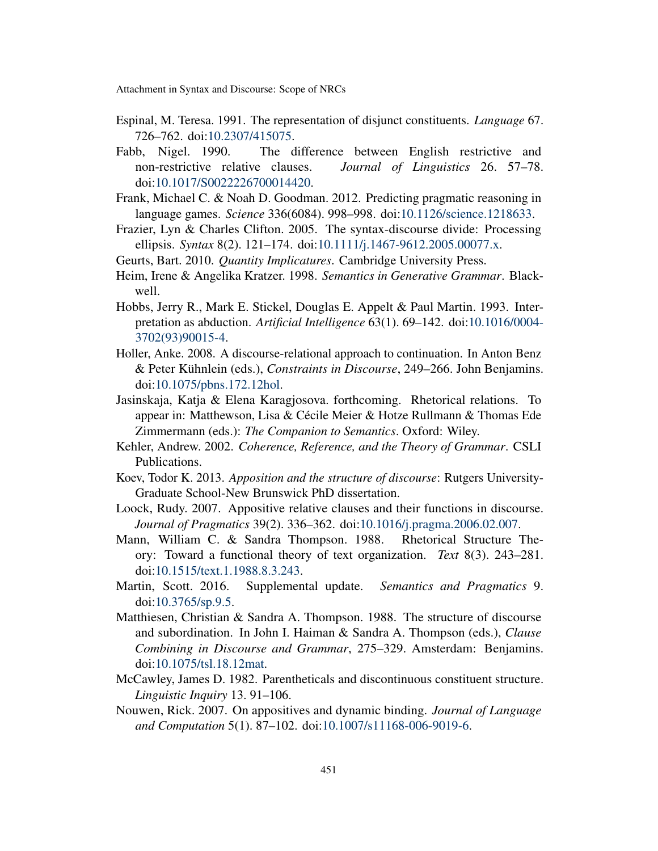- <span id="page-18-2"></span>Espinal, M. Teresa. 1991. The representation of disjunct constituents. *Language* 67. 726–762. doi[:10.2307/415075.](http://dx.doi.org/10.2307/415075)
- <span id="page-18-1"></span>Fabb, Nigel. 1990. The difference between English restrictive and non-restrictive relative clauses. *Journal of Linguistics* 26. 57–78. doi[:10.1017/S0022226700014420.](http://dx.doi.org/10.1017/S0022226700014420)
- <span id="page-18-10"></span>Frank, Michael C. & Noah D. Goodman. 2012. Predicting pragmatic reasoning in language games. *Science* 336(6084). 998–998. doi[:10.1126/science.1218633.](http://dx.doi.org/10.1126/science.1218633)
- <span id="page-18-13"></span>Frazier, Lyn & Charles Clifton. 2005. The syntax-discourse divide: Processing ellipsis. *Syntax* 8(2). 121–174. doi[:10.1111/j.1467-9612.2005.00077.x.](http://dx.doi.org/10.1111/j.1467-9612.2005.00077.x)
- <span id="page-18-9"></span>Geurts, Bart. 2010. *Quantity Implicatures*. Cambridge University Press.
- <span id="page-18-7"></span>Heim, Irene & Angelika Kratzer. 1998. *Semantics in Generative Grammar*. Blackwell.
- <span id="page-18-8"></span>Hobbs, Jerry R., Mark E. Stickel, Douglas E. Appelt & Paul Martin. 1993. Interpretation as abduction. *Artificial Intelligence* 63(1). 69–142. doi[:10.1016/0004-](http://dx.doi.org/10.1016/0004-3702(93)90015-4) [3702\(93\)90015-4.](http://dx.doi.org/10.1016/0004-3702(93)90015-4)
- <span id="page-18-16"></span>Holler, Anke. 2008. A discourse-relational approach to continuation. In Anton Benz & Peter Kühnlein (eds.), *Constraints in Discourse*, 249–266. John Benjamins. doi[:10.1075/pbns.172.12hol.](http://dx.doi.org/10.1075/pbns.172.12hol)
- <span id="page-18-6"></span>Jasinskaja, Katja & Elena Karagjosova. forthcoming. Rhetorical relations. To appear in: Matthewson, Lisa & Cécile Meier & Hotze Rullmann & Thomas Ede Zimmermann (eds.): *The Companion to Semantics*. Oxford: Wiley.
- <span id="page-18-11"></span>Kehler, Andrew. 2002. *Coherence, Reference, and the Theory of Grammar*. CSLI Publications.
- <span id="page-18-3"></span>Koev, Todor K. 2013. *Apposition and the structure of discourse*: Rutgers University-Graduate School-New Brunswick PhD dissertation.
- <span id="page-18-15"></span>Loock, Rudy. 2007. Appositive relative clauses and their functions in discourse. *Journal of Pragmatics* 39(2). 336–362. doi[:10.1016/j.pragma.2006.02.007.](http://dx.doi.org/10.1016/j.pragma.2006.02.007)
- <span id="page-18-12"></span>Mann, William C. & Sandra Thompson. 1988. Rhetorical Structure Theory: Toward a functional theory of text organization. *Text* 8(3). 243–281. doi[:10.1515/text.1.1988.8.3.243.](http://dx.doi.org/10.1515/text.1.1988.8.3.243)
- <span id="page-18-5"></span>Martin, Scott. 2016. Supplemental update. *Semantics and Pragmatics* 9. doi[:10.3765/sp.9.5.](http://dx.doi.org/10.3765/sp.9.5)
- <span id="page-18-14"></span>Matthiesen, Christian & Sandra A. Thompson. 1988. The structure of discourse and subordination. In John I. Haiman & Sandra A. Thompson (eds.), *Clause Combining in Discourse and Grammar*, 275–329. Amsterdam: Benjamins. doi[:10.1075/tsl.18.12mat.](http://dx.doi.org/10.1075/tsl.18.12mat)
- <span id="page-18-0"></span>McCawley, James D. 1982. Parentheticals and discontinuous constituent structure. *Linguistic Inquiry* 13. 91–106.
- <span id="page-18-4"></span>Nouwen, Rick. 2007. On appositives and dynamic binding. *Journal of Language and Computation* 5(1). 87–102. doi[:10.1007/s11168-006-9019-6.](http://dx.doi.org/10.1007/s11168-006-9019-6)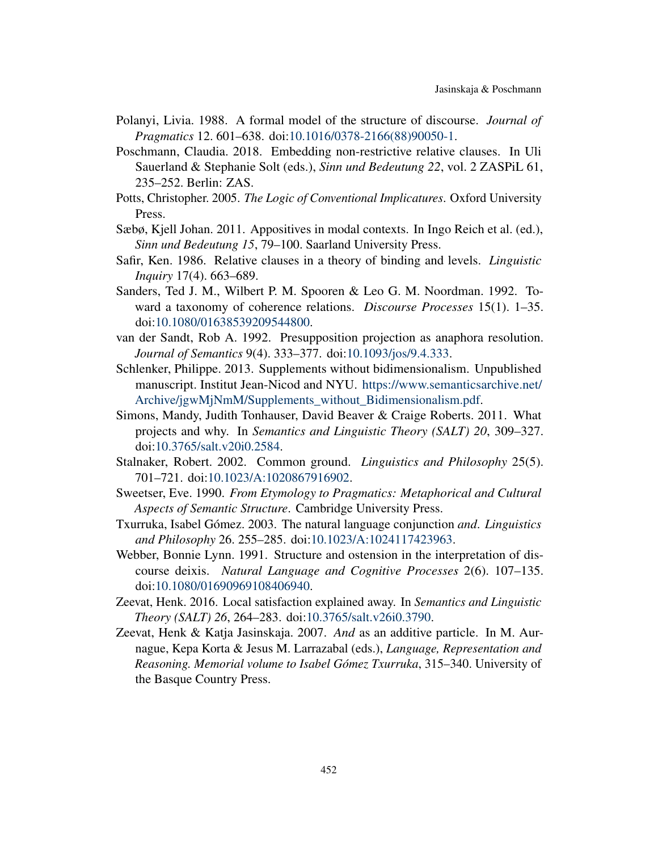- <span id="page-19-13"></span>Polanyi, Livia. 1988. A formal model of the structure of discourse. *Journal of Pragmatics* 12. 601–638. doi[:10.1016/0378-2166\(88\)90050-1.](http://dx.doi.org/10.1016/0378-2166(88)90050-1)
- <span id="page-19-5"></span>Poschmann, Claudia. 2018. Embedding non-restrictive relative clauses. In Uli Sauerland & Stephanie Solt (eds.), *Sinn und Bedeutung 22*, vol. 2 ZASPiL 61, 235–252. Berlin: ZAS.
- <span id="page-19-2"></span>Potts, Christopher. 2005. *The Logic of Conventional Implicatures*. Oxford University Press.
- <span id="page-19-4"></span>Sæbø, Kjell Johan. 2011. Appositives in modal contexts. In Ingo Reich et al. (ed.), *Sinn und Bedeutung 15*, 79–100. Saarland University Press.
- <span id="page-19-1"></span>Safir, Ken. 1986. Relative clauses in a theory of binding and levels. *Linguistic Inquiry* 17(4). 663–689.
- <span id="page-19-8"></span>Sanders, Ted J. M., Wilbert P. M. Spooren & Leo G. M. Noordman. 1992. Toward a taxonomy of coherence relations. *Discourse Processes* 15(1). 1–35. doi[:10.1080/01638539209544800.](http://dx.doi.org/10.1080/01638539209544800)
- <span id="page-19-6"></span>van der Sandt, Rob A. 1992. Presupposition projection as anaphora resolution. *Journal of Semantics* 9(4). 333–377. doi[:10.1093/jos/9.4.333.](http://dx.doi.org/10.1093/jos/9.4.333)
- <span id="page-19-0"></span>Schlenker, Philippe. 2013. Supplements without bidimensionalism. Unpublished manuscript. Institut Jean-Nicod and NYU. [https://www.semanticsarchive.net/](https://www.semanticsarchive.net/Archive/jgwMjNmM/Supplements_without_Bidimensionalism.pdf) [Archive/jgwMjNmM/Supplements\\_without\\_Bidimensionalism.pdf.](https://www.semanticsarchive.net/Archive/jgwMjNmM/Supplements_without_Bidimensionalism.pdf)
- <span id="page-19-3"></span>Simons, Mandy, Judith Tonhauser, David Beaver & Craige Roberts. 2011. What projects and why. In *Semantics and Linguistic Theory (SALT) 20*, 309–327. doi[:10.3765/salt.v20i0.2584.](http://dx.doi.org/10.3765/salt.v20i0.2584)
- <span id="page-19-10"></span>Stalnaker, Robert. 2002. Common ground. *Linguistics and Philosophy* 25(5). 701–721. doi[:10.1023/A:1020867916902.](http://dx.doi.org/10.1023/A:1020867916902)
- <span id="page-19-9"></span>Sweetser, Eve. 1990. *From Etymology to Pragmatics: Metaphorical and Cultural Aspects of Semantic Structure*. Cambridge University Press.
- <span id="page-19-11"></span>Txurruka, Isabel Gómez. 2003. The natural language conjunction *and*. *Linguistics and Philosophy* 26. 255–285. doi[:10.1023/A:1024117423963.](http://dx.doi.org/10.1023/A:1024117423963)
- <span id="page-19-14"></span>Webber, Bonnie Lynn. 1991. Structure and ostension in the interpretation of discourse deixis. *Natural Language and Cognitive Processes* 2(6). 107–135. doi[:10.1080/01690969108406940.](http://dx.doi.org/10.1080/01690969108406940)
- <span id="page-19-7"></span>Zeevat, Henk. 2016. Local satisfaction explained away. In *Semantics and Linguistic Theory (SALT) 26*, 264–283. doi[:10.3765/salt.v26i0.3790.](http://dx.doi.org/10.3765/salt.v26i0.3790)
- <span id="page-19-12"></span>Zeevat, Henk & Katja Jasinskaja. 2007. *And* as an additive particle. In M. Aurnague, Kepa Korta & Jesus M. Larrazabal (eds.), *Language, Representation and Reasoning. Memorial volume to Isabel Gómez Txurruka*, 315–340. University of the Basque Country Press.